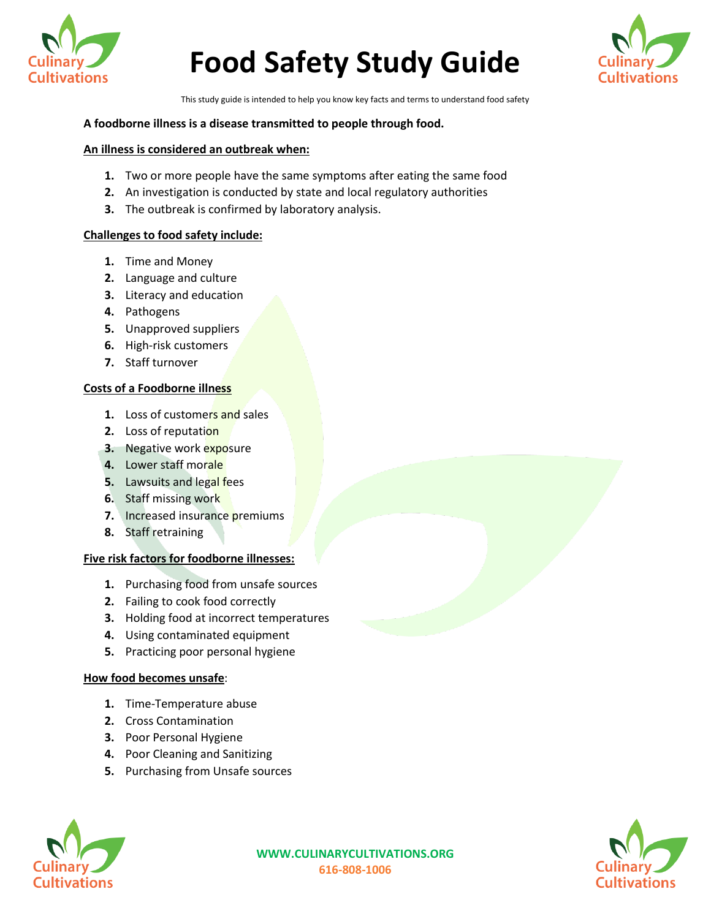



This study guide is intended to help you know key facts and terms to understand food safety

#### **A foodborne illness is a disease transmitted to people through food.**

#### **An illness is considered an outbreak when:**

- **1.** Two or more people have the same symptoms after eating the same food
- **2.** An investigation is conducted by state and local regulatory authorities
- **3.** The outbreak is confirmed by laboratory analysis.

## **Challenges to food safety include:**

- **1.** Time and Money
- **2.** Language and culture
- **3.** Literacy and education
- **4.** Pathogens
- **5.** Unapproved suppliers
- **6.** High-risk customers
- **7.** Staff turnover

## **Costs of a Foodborne illness**

- **1.** Loss of customers and sales
- **2.** Loss of reputation
- **3.** Negative work exposure
- **4.** Lower staff morale
- **5.** Lawsuits and legal fees
- **6.** Staff missing work
- **7.** Increased insurance premiums
- **8.** Staff retraining

#### **Five risk factors for foodborne illnesses:**

- **1.** Purchasing food from unsafe sources
- **2.** Failing to cook food correctly
- **3.** Holding food at incorrect temperatures
- **4.** Using contaminated equipment
- **5.** Practicing poor personal hygiene

# **How food becomes unsafe**:

- **1.** Time-Temperature abuse
- **2.** Cross Contamination
- **3.** Poor Personal Hygiene
- **4.** Poor Cleaning and Sanitizing
- **5.** Purchasing from Unsafe sources



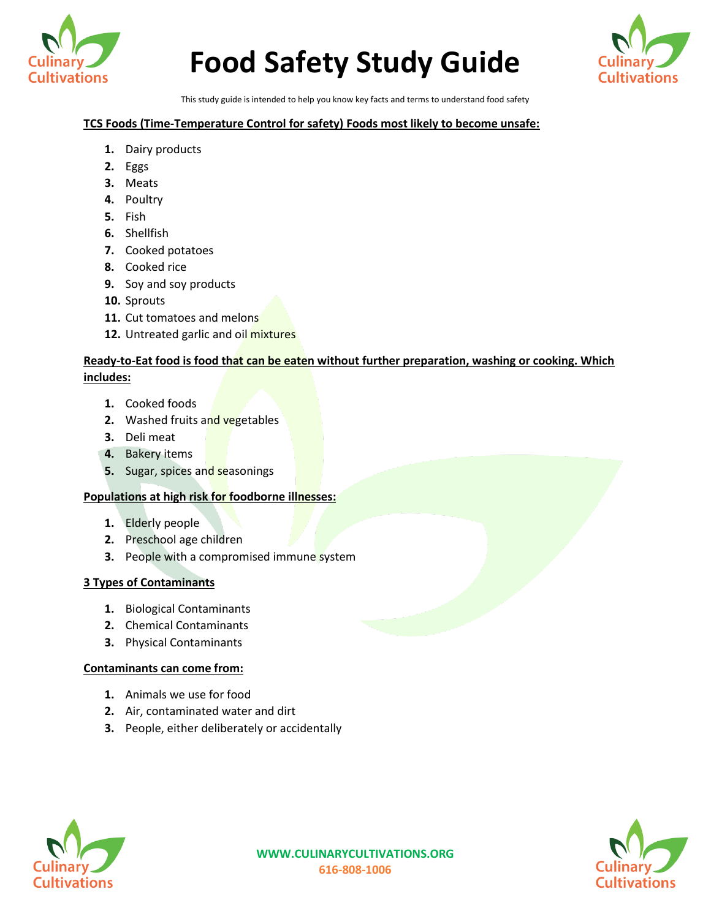



This study guide is intended to help you know key facts and terms to understand food safety

# **TCS Foods (Time-Temperature Control for safety) Foods most likely to become unsafe:**

- **1.** Dairy products
- **2.** Eggs
- **3.** Meats
- **4.** Poultry
- **5.** Fish
- **6.** Shellfish
- **7.** Cooked potatoes
- **8.** Cooked rice
- **9.** Soy and soy products
- **10.** Sprouts
- **11.** Cut tomatoes and melons
- **12.** Untreated garlic and oil mixtures

# **Ready-to-Eat food is food that can be eaten without further preparation, washing or cooking. Which includes:**

- **1.** Cooked foods
- **2.** Washed fruits and vegetables
- **3.** Deli meat
- **4.** Bakery items
- **5.** Sugar, spices and seasonings

# **Populations at high risk for foodborne illnesses:**

- **1.** Elderly people
- **2.** Preschool age children
- **3.** People with a compromised immune system

# **3 Types of Contaminants**

- **1.** Biological Contaminants
- **2.** Chemical Contaminants
- **3.** Physical Contaminants

# **Contaminants can come from:**

- **1.** Animals we use for food
- **2.** Air, contaminated water and dirt
- **3.** People, either deliberately or accidentally



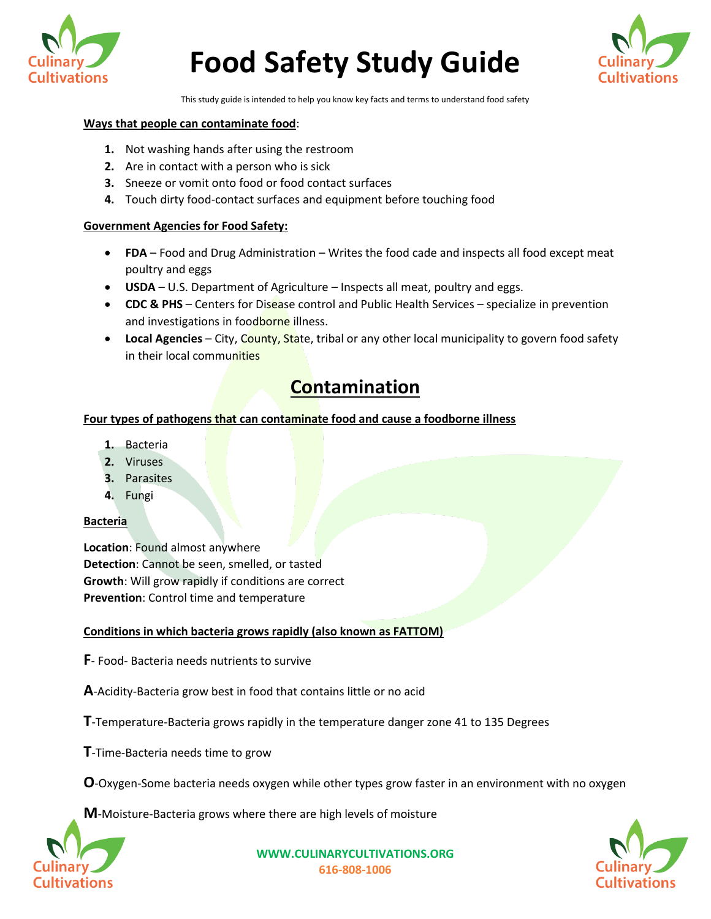



This study guide is intended to help you know key facts and terms to understand food safety

#### **Ways that people can contaminate food**:

- **1.** Not washing hands after using the restroom
- **2.** Are in contact with a person who is sick
- **3.** Sneeze or vomit onto food or food contact surfaces
- **4.** Touch dirty food-contact surfaces and equipment before touching food

## **Government Agencies for Food Safety:**

- **FDA** Food and Drug Administration Writes the food cade and inspects all food except meat poultry and eggs
- **USDA** U.S. Department of Agriculture Inspects all meat, poultry and eggs.
- **CDC & PHS** Centers for Disease control and Public Health Services specialize in prevention and investigations in foodborne illness.
- **Local Agencies** City, County, State, tribal or any other local municipality to govern food safety in their local communities

# **Contamination**

# **Four types of pathogens that can contaminate food and cause a foodborne illness**

- **1.** Bacteria
- **2.** Viruses
- **3.** Parasites
- **4.** Fungi

#### **Bacteria**

**Location**: Found almost anywhere **Detection**: Cannot be seen, smelled, or tasted **Growth**: Will grow rapidly if conditions are correct **Prevention**: Control time and temperature

#### **Conditions in which bacteria grows rapidly (also known as FATTOM)**

**F**- Food- Bacteria needs nutrients to survive

**A**-Acidity-Bacteria grow best in food that contains little or no acid

**T**-Temperature-Bacteria grows rapidly in the temperature danger zone 41 to 135 Degrees

**T**-Time-Bacteria needs time to grow

**O**-Oxygen-Some bacteria needs oxygen while other types grow faster in an environment with no oxygen

**M**-Moisture-Bacteria grows where there are high levels of moisture



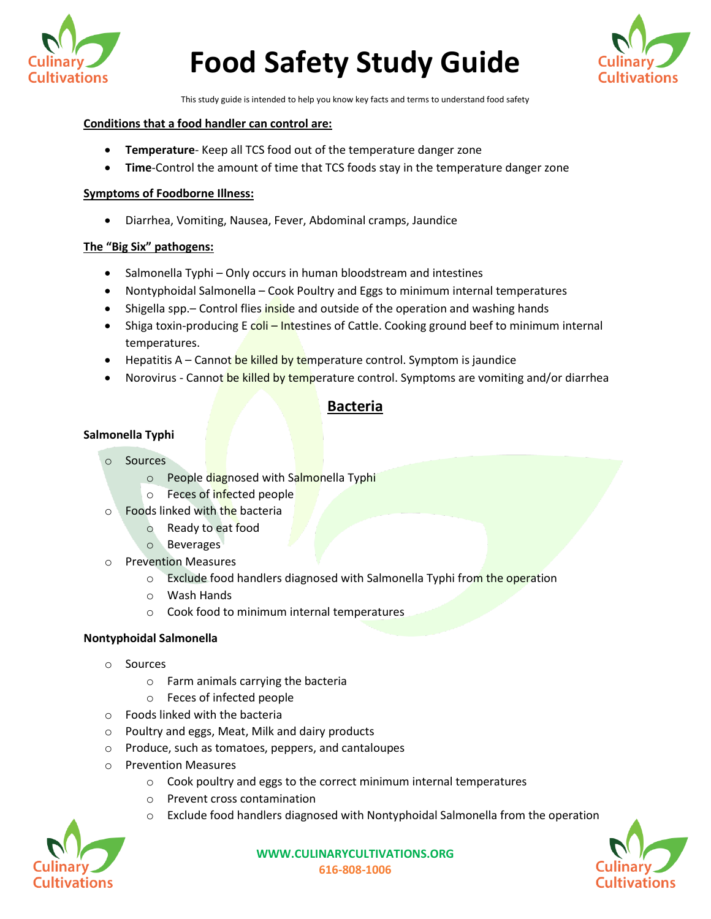



This study guide is intended to help you know key facts and terms to understand food safety

#### **Conditions that a food handler can control are:**

- **Temperature** Keep all TCS food out of the temperature danger zone
- **Time**-Control the amount of time that TCS foods stay in the temperature danger zone

#### **Symptoms of Foodborne Illness:**

• Diarrhea, Vomiting, Nausea, Fever, Abdominal cramps, Jaundice

# **The "Big Six" pathogens:**

- Salmonella Typhi Only occurs in human bloodstream and intestines
- Nontyphoidal Salmonella Cook Poultry and Eggs to minimum internal temperatures
- Shigella spp. Control flies inside and outside of the operation and washing hands
- Shiga toxin-producing E coli Intestines of Cattle. Cooking ground beef to minimum internal temperatures.
- Hepatitis A Cannot be killed by temperature control. Symptom is jaundice
- Norovirus Cannot be killed by temperature control. Symptoms are vomiting and/or diarrhea

# **Bacteria**

# **Salmonella Typhi**

- o Sources
	- o People diagnosed with Salmonella Typhi
	- o Feces of infected people
- o Foods linked with the bacteria
	- o Ready to eat food
	- o Beverages
- o Prevention Measures
	- o Exclude food handlers diagnosed with Salmonella Typhi from the operation
	- o Wash Hands
	- o Cook food to minimum internal temperatures

# **Nontyphoidal Salmonella**

- o Sources
	- o Farm animals carrying the bacteria
	- o Feces of infected people
- o Foods linked with the bacteria
- o Poultry and eggs, Meat, Milk and dairy products
- o Produce, such as tomatoes, peppers, and cantaloupes
- o Prevention Measures
	- o Cook poultry and eggs to the correct minimum internal temperatures
	- o Prevent cross contamination
	- $\circ$  Exclude food handlers diagnosed with Nontyphoidal Salmonella from the operation



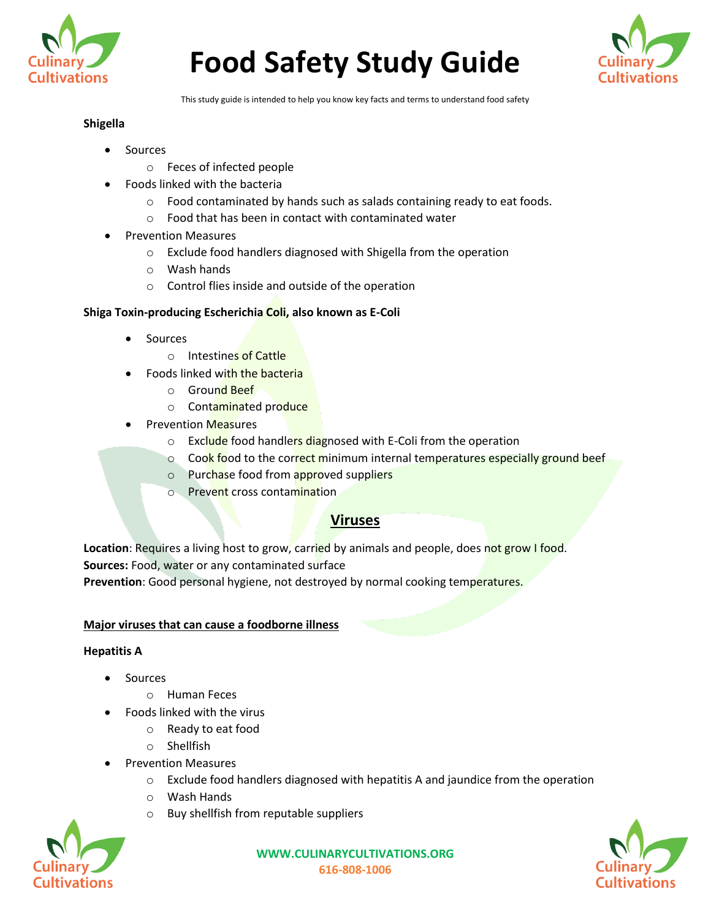



This study guide is intended to help you know key facts and terms to understand food safety

# **Shigella**

- **Sources** 
	- o Feces of infected people
	- Foods linked with the bacteria
		- $\circ$  Food contaminated by hands such as salads containing ready to eat foods.
		- $\circ$  Food that has been in contact with contaminated water
- Prevention Measures
	- o Exclude food handlers diagnosed with Shigella from the operation
	- o Wash hands
	- o Control flies inside and outside of the operation

# **Shiga Toxin-producing Escherichia Coli, also known as E-Coli**

- Sources
	- o Intestines of Cattle
- Foods linked with the bacteria
	- o Ground Beef
	- o Contaminated produce
- Prevention Measures
	- o Exclude food handlers diagnosed with E-Coli from the operation
	- o Cook food to the correct minimum internal temperatures especially ground beef
	- o Purchase food from approved suppliers
	- o Prevent cross contamination

# **Viruses**

Location: Requires a living host to grow, carried by animals and people, does not grow I food. **Sources:** Food, water or any contaminated surface

**Prevention**: Good personal hygiene, not destroyed by normal cooking temperatures.

# **Major viruses that can cause a foodborne illness**

# **Hepatitis A**

- **Sources** 
	- o Human Feces
- Foods linked with the virus
	- o Ready to eat food
	- o Shellfish
- Prevention Measures
	- $\circ$  Exclude food handlers diagnosed with hepatitis A and jaundice from the operation
	- o Wash Hands
	- o Buy shellfish from reputable suppliers



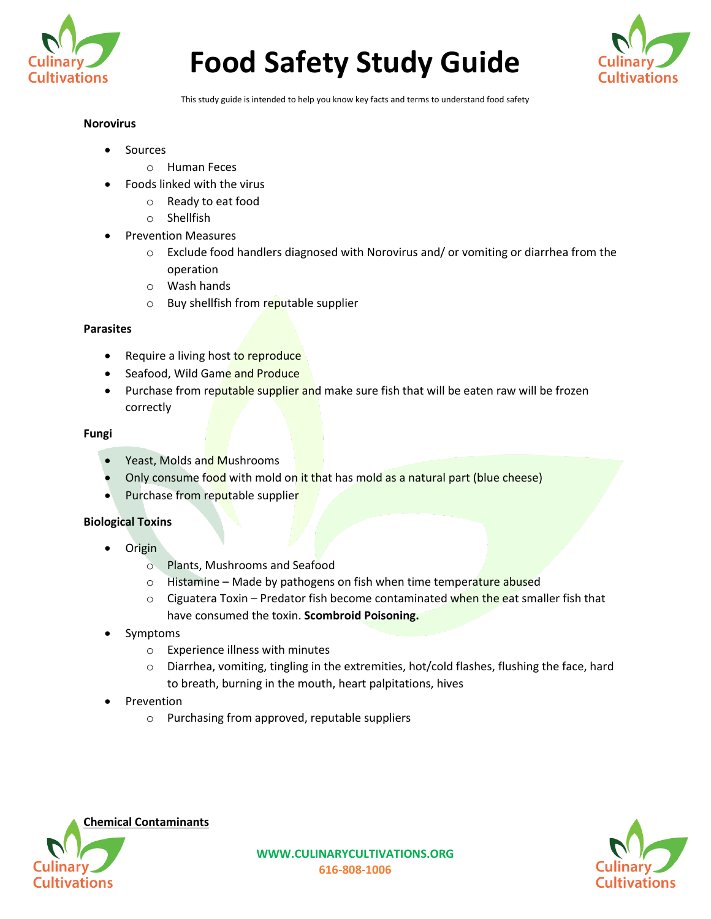



This study guide is intended to help you know key facts and terms to understand food safety

## **Norovirus**

- **Sources** 
	- o Human Feces
- Foods linked with the virus
	- o Ready to eat food
	- o Shellfish
- Prevention Measures
	- $\circ$  Exclude food handlers diagnosed with Norovirus and/ or vomiting or diarrhea from the operation
	- o Wash hands
	- o Buy shellfish from reputable supplier

# **Parasites**

- Require a living host to reproduce
- Seafood, Wild Game and Produce
- Purchase from reputable supplier and make sure fish that will be eaten raw will be frozen correctly

## **Fungi**

- Yeast, Molds and Mushrooms
- Only consume food with mold on it that has mold as a natural part (blue cheese)
- Purchase from reputable supplier

# **Biological Toxins**

- Origin
	- o Plants, Mushrooms and Seafood
	- $\circ$  Histamine Made by pathogens on fish when time temperature abused
	- $\circ$  Ciguatera Toxin Predator fish become contaminated when the eat smaller fish that have consumed the toxin. **Scombroid Poisoning.**
- Symptoms
	- o Experience illness with minutes
	- o Diarrhea, vomiting, tingling in the extremities, hot/cold flashes, flushing the face, hard to breath, burning in the mouth, heart palpitations, hives
- **Prevention** 
	- o Purchasing from approved, reputable suppliers



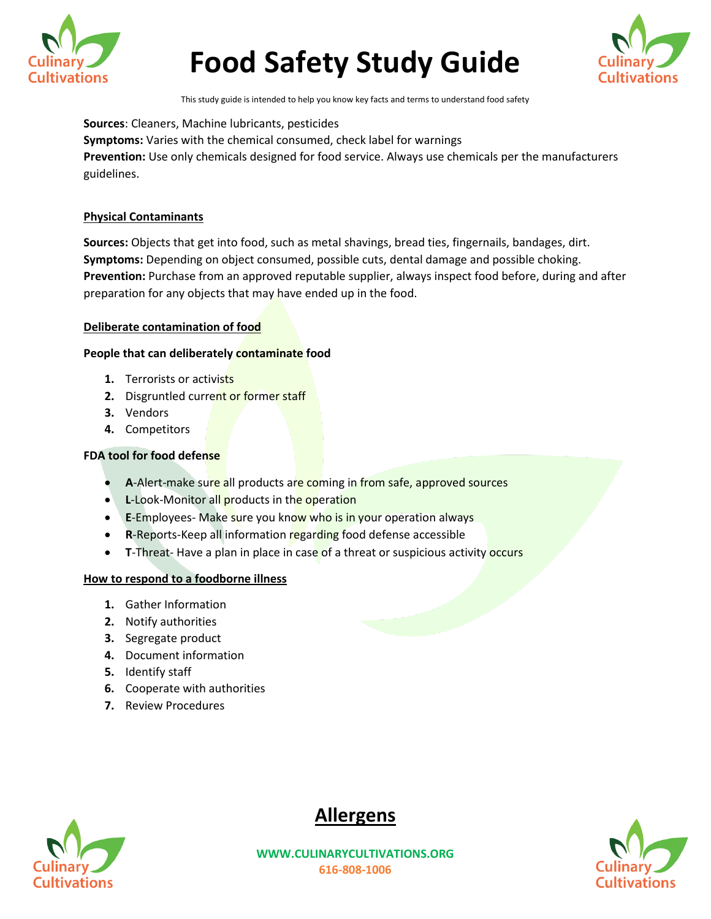



This study guide is intended to help you know key facts and terms to understand food safety

**Sources**: Cleaners, Machine lubricants, pesticides **Symptoms:** Varies with the chemical consumed, check label for warnings **Prevention:** Use only chemicals designed for food service. Always use chemicals per the manufacturers guidelines.

# **Physical Contaminants**

**Sources:** Objects that get into food, such as metal shavings, bread ties, fingernails, bandages, dirt. **Symptoms:** Depending on object consumed, possible cuts, dental damage and possible choking. **Prevention:** Purchase from an approved reputable supplier, always inspect food before, during and after preparation for any objects that may have ended up in the food.

# **Deliberate contamination of food**

## **People that can deliberately contaminate food**

- **1.** Terrorists or activists
- **2.** Disgruntled current or former staff
- **3.** Vendors
- **4.** Competitors

# **FDA tool for food defense**

- **A-Alert-make sure all products are coming in from safe, approved sources**
- **L-Look-Monitor all products in the operation**
- **E-Employees- Make sure you know who is in your operation always**
- **R-Reports-Keep all information regarding food defense accessible**
- **T-Threat-** Have a plan in place in case of a threat or suspicious activity occurs

# **How to respond to a foodborne illness**

- **1.** Gather Information
- **2.** Notify authorities
- **3.** Segregate product
- **4.** Document information
- **5.** Identify staff
- **6.** Cooperate with authorities
- **7.** Review Procedures





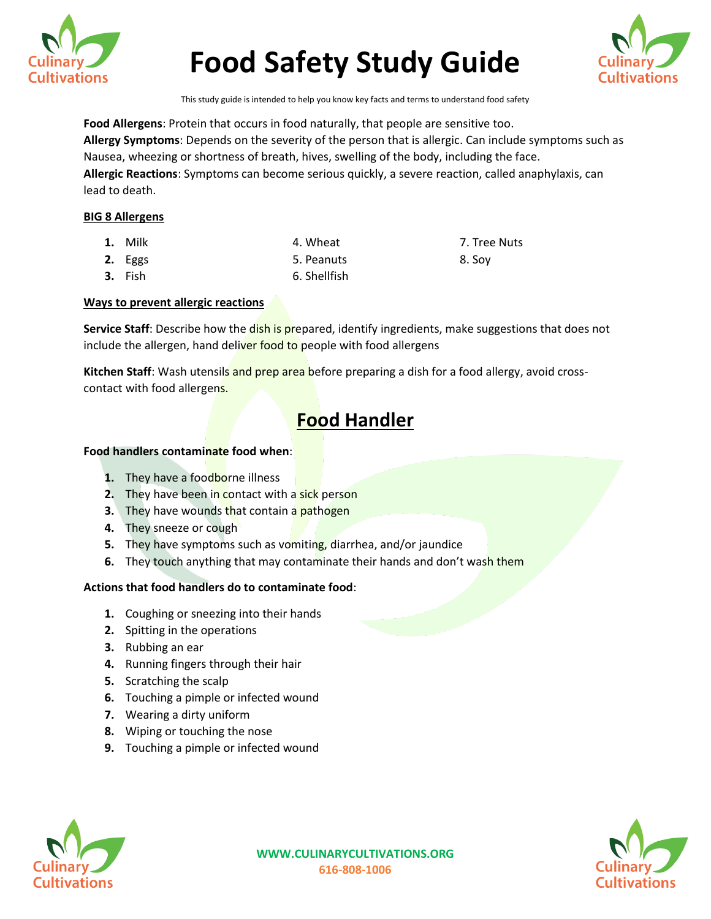



This study guide is intended to help you know key facts and terms to understand food safety

**Food Allergens**: Protein that occurs in food naturally, that people are sensitive too. **Allergy Symptoms**: Depends on the severity of the person that is allergic. Can include symptoms such as Nausea, wheezing or shortness of breath, hives, swelling of the body, including the face. **Allergic Reactions**: Symptoms can become serious quickly, a severe reaction, called anaphylaxis, can lead to death.

## **BIG 8 Allergens**

- **1.** Milk **1. Milk 1. Wheat** 1. Wheat 1. Milk 1. Milk 1. Milk 1. Milk 1. Milk 1. Milk 1. Milk 1. Milk 1. Milk 1. Milk 1. Milk 1. Milk 1. Milk 1. Milk 1. Milk 1. Milk 1. Milk 1. Milk 1. Milk 1. Milk 1. Milk 1. Milk 1. Milk
- **2.** Eggs 5. Peanuts 8. Soy
- **3.** Fish 6. Shellfish

# **Ways to prevent allergic reactions**

Service Staff: Describe how the dish is prepared, identify ingredients, make suggestions that does not include the allergen, hand deliver food to people with food allergens

**Kitchen Staff**: Wash utensils and prep area before preparing a dish for a food allergy, avoid crosscontact with food allergens.

# **Food Handler**

#### **Food handlers contaminate food when**:

- **1.** They have a foodborne illness
- **2.** They have been in contact with a sick person
- **3.** They have wounds that contain a pathogen
- **4.** They sneeze or cough
- **5.** They have symptoms such as vomiting, diarrhea, and/or jaundice
- **6.** They touch anything that may contaminate their hands and don't wash them

# **Actions that food handlers do to contaminate food**:

- **1.** Coughing or sneezing into their hands
- **2.** Spitting in the operations
- **3.** Rubbing an ear
- **4.** Running fingers through their hair
- **5.** Scratching the scalp
- **6.** Touching a pimple or infected wound
- **7.** Wearing a dirty uniform
- **8.** Wiping or touching the nose
- **9.** Touching a pimple or infected wound

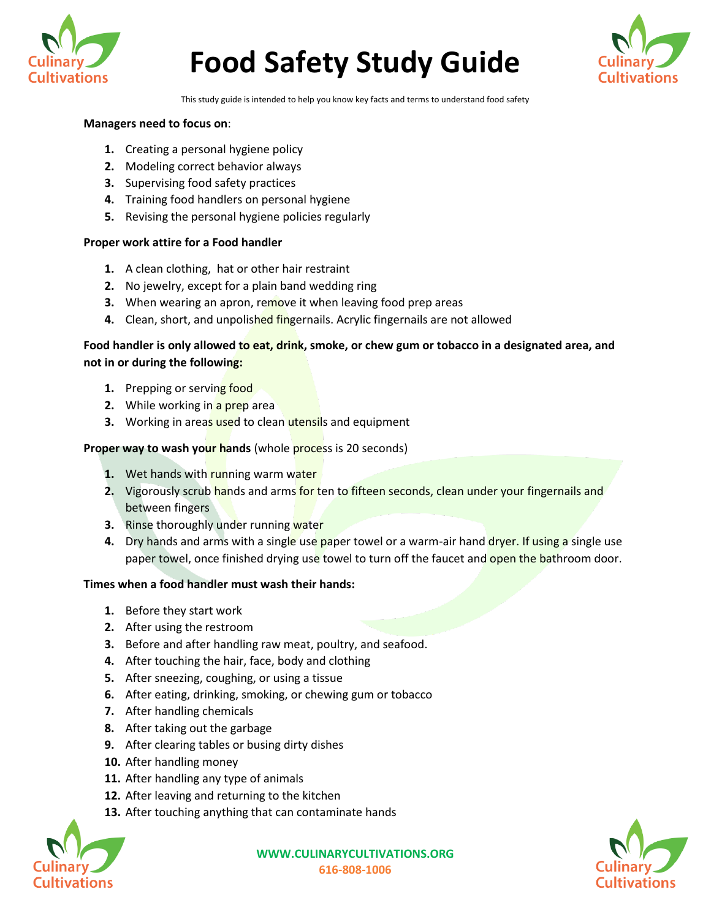



This study guide is intended to help you know key facts and terms to understand food safety

## **Managers need to focus on**:

- **1.** Creating a personal hygiene policy
- **2.** Modeling correct behavior always
- **3.** Supervising food safety practices
- **4.** Training food handlers on personal hygiene
- **5.** Revising the personal hygiene policies regularly

#### **Proper work attire for a Food handler**

- **1.** A clean clothing, hat or other hair restraint
- **2.** No jewelry, except for a plain band wedding ring
- **3.** When wearing an apron, remove it when leaving food prep areas
- **4.** Clean, short, and unpolished fingernails. Acrylic fingernails are not allowed

# **Food handler is only allowed to eat, drink, smoke, or chew gum or tobacco in a designated area, and not in or during the following:**

- **1.** Prepping or serving food
- **2.** While working in a prep area
- **3.** Working in areas used to clean utensils and equipment

#### **Proper way to wash your hands** (whole **process** is 20 seconds)

- **1.** Wet hands with running warm water
- 2. Vigorously scrub hands and arms for ten to fifteen seconds, clean under your fingernails and between fingers
- **3.** Rinse thoroughly under running water
- **4.** Dry hands and arms with a single use paper towel or a warm-air hand dryer. If using a single use paper towel, once finished drying use towel to turn off the faucet and open the bathroom door.

#### **Times when a food handler must wash their hands:**

- **1.** Before they start work
- **2.** After using the restroom
- **3.** Before and after handling raw meat, poultry, and seafood.
- **4.** After touching the hair, face, body and clothing
- **5.** After sneezing, coughing, or using a tissue
- **6.** After eating, drinking, smoking, or chewing gum or tobacco
- **7.** After handling chemicals
- **8.** After taking out the garbage
- **9.** After clearing tables or busing dirty dishes
- **10.** After handling money
- **11.** After handling any type of animals
- **12.** After leaving and returning to the kitchen
- **13.** After touching anything that can contaminate hands



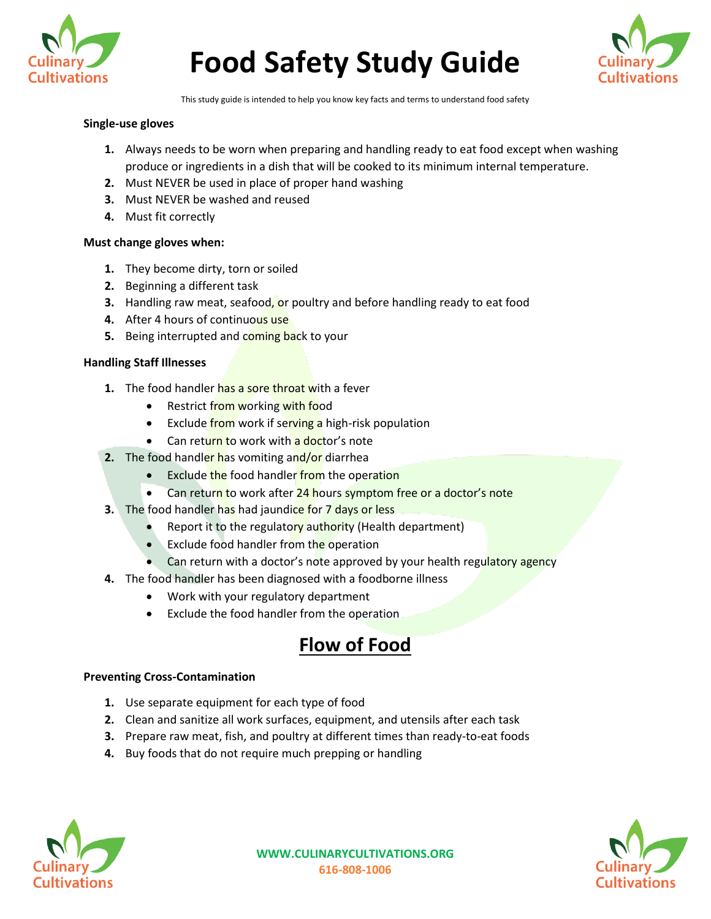



This study guide is intended to help you know key facts and terms to understand food safety

#### **Single-use gloves**

- **1.** Always needs to be worn when preparing and handling ready to eat food except when washing produce or ingredients in a dish that will be cooked to its minimum internal temperature.
- **2.** Must NEVER be used in place of proper hand washing
- **3.** Must NEVER be washed and reused
- **4.** Must fit correctly

#### **Must change gloves when:**

- **1.** They become dirty, torn or soiled
- **2.** Beginning a different task
- **3.** Handling raw meat, seafood, or poultry and before handling ready to eat food
- **4.** After 4 hours of continuous use
- **5.** Being interrupted and coming back to your

## **Handling Staff Illnesses**

- **1.** The food handler has a sore throat with a fever
	- Restrict from working with food
	- Exclude from work if serving a high-risk population
	- Can return to work with a doctor's note
- **2.** The food handler has vomiting and/or diarrhea
	- Exclude the food handler from the operation
	- Can return to work after 24 hours symptom free or a doctor's note
- **3.** The food handler has had jaundice for 7 days or less
	- Report it to the regulatory authority (Health department)
	- Exclude food handler from the operation
	- Can return with a doctor's note approved by your health regulatory agency
- **4.** The food handler has been diagnosed with a foodborne illness
	- Work with your regulatory department
	- Exclude the food handler from the operation

# **Flow of Food**

#### **Preventing Cross-Contamination**

- **1.** Use separate equipment for each type of food
- **2.** Clean and sanitize all work surfaces, equipment, and utensils after each task
- **3.** Prepare raw meat, fish, and poultry at different times than ready-to-eat foods
- **4.** Buy foods that do not require much prepping or handling



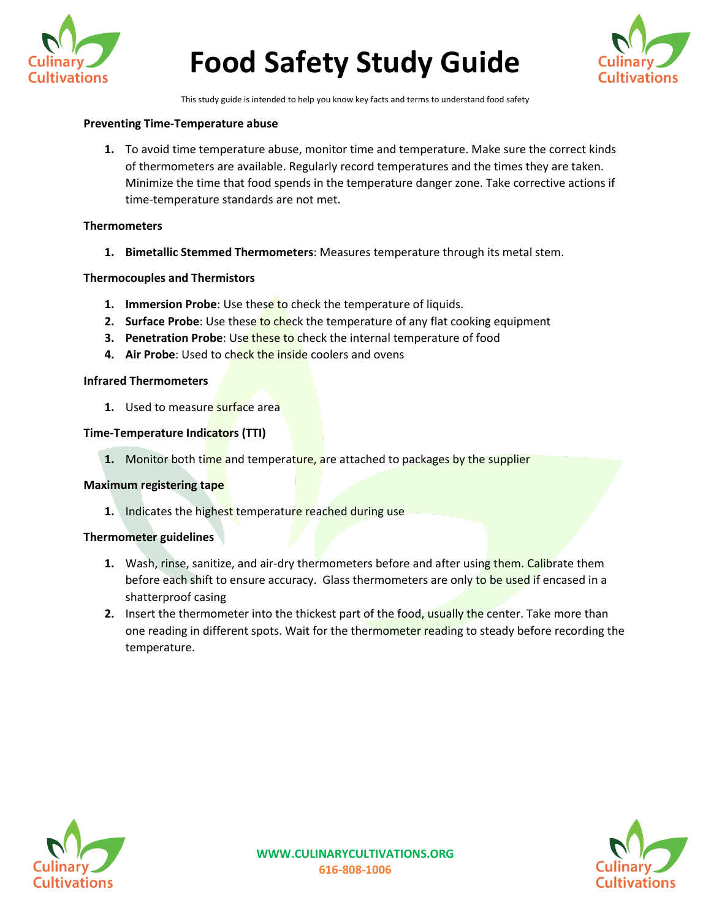



This study guide is intended to help you know key facts and terms to understand food safety

## **Preventing Time-Temperature abuse**

**1.** To avoid time temperature abuse, monitor time and temperature. Make sure the correct kinds of thermometers are available. Regularly record temperatures and the times they are taken. Minimize the time that food spends in the temperature danger zone. Take corrective actions if time-temperature standards are not met.

#### **Thermometers**

**1. Bimetallic Stemmed Thermometers**: Measures temperature through its metal stem.

## **Thermocouples and Thermistors**

- **1. Immersion Probe**: Use these to check the temperature of liquids.
- **2. Surface Probe**: Use these to check the temperature of any flat cooking equipment
- **3. Penetration Probe:** Use these to check the internal temperature of food
- **4. Air Probe**: Used to check the inside coolers and ovens

#### **Infrared Thermometers**

**1.** Used to measure surface area

## **Time-Temperature Indicators (TTI)**

**1.** Monitor both time and temperature, are attached to packages by the supplier

#### **Maximum registering tape**

**1.** Indicates the highest temperature reached during use

#### **Thermometer guidelines**

- **1.** Wash, rinse, sanitize, and air-dry thermometers before and after using them. Calibrate them before each shift to ensure accuracy. Glass thermometers are only to be used if encased in a shatterproof casing
- **2.** Insert the thermometer into the thickest part of the food, usually the center. Take more than one reading in different spots. Wait for the thermometer reading to steady before recording the temperature.



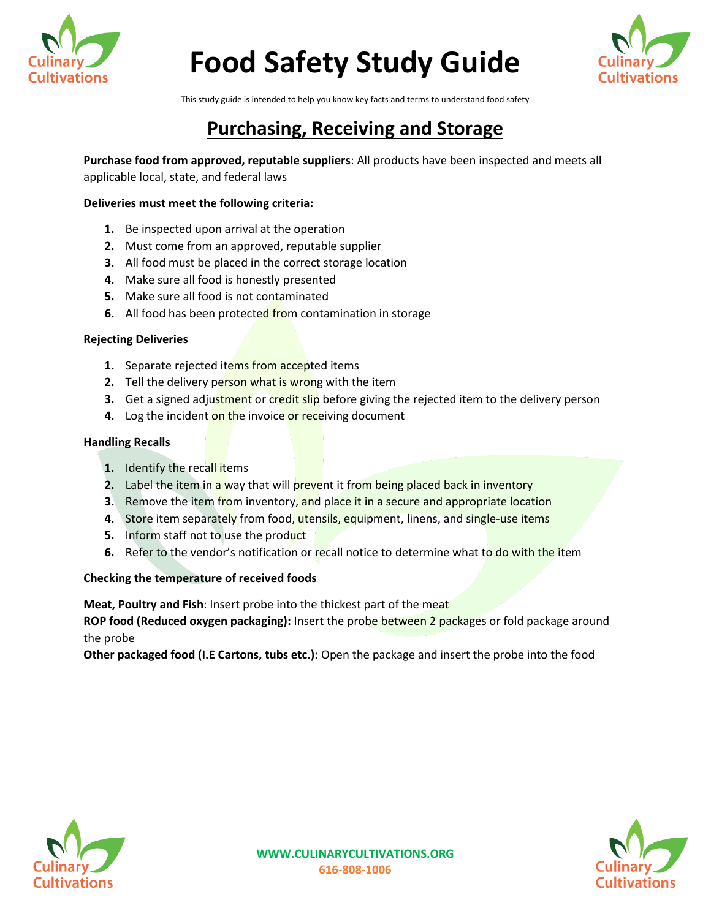



This study guide is intended to help you know key facts and terms to understand food safety

# **Purchasing, Receiving and Storage**

**Purchase food from approved, reputable suppliers**: All products have been inspected and meets all applicable local, state, and federal laws

## **Deliveries must meet the following criteria:**

- **1.** Be inspected upon arrival at the operation
- **2.** Must come from an approved, reputable supplier
- **3.** All food must be placed in the correct storage location
- **4.** Make sure all food is honestly presented
- **5.** Make sure all food is not contaminated
- **6.** All food has been protected from contamination in storage

# **Rejecting Deliveries**

- **1.** Separate rejected items from accepted items
- **2.** Tell the delivery person what is wrong with the item
- **3.** Get a signed adjustment or credit slip before giving the rejected item to the delivery person
- **4.** Log the incident on the invoice or receiving document

## **Handling Recalls**

- **1.** Identify the recall items
- **2.** Label the item in a way that will prevent it from being placed back in inventory
- **3.** Remove the item from inventory, and place it in a secure and appropriate location
- **4.** Store item separately from food, utensils, equipment, linens, and single-use items
- **5.** Inform staff not to use the product
- **6.** Refer to the vendor's notification or recall notice to determine what to do with the item

# **Checking the temperature of received foods**

**Meat, Poultry and Fish**: Insert probe into the thickest part of the meat

**ROP food (Reduced oxygen packaging):** Insert the probe between 2 packages or fold package around the probe

**Other packaged food (I.E Cartons, tubs etc.):** Open the package and insert the probe into the food



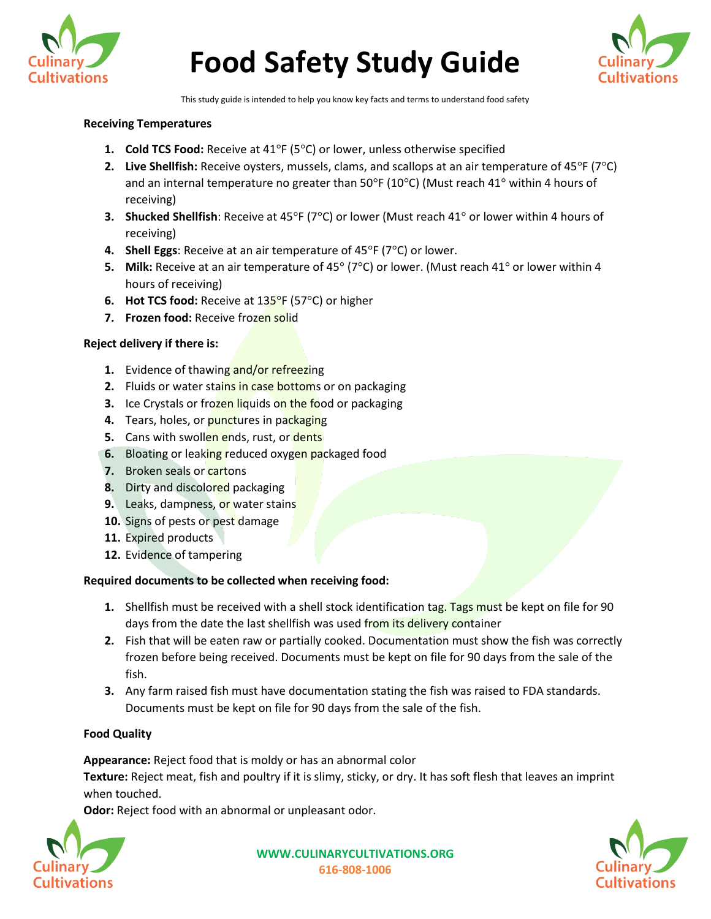



This study guide is intended to help you know key facts and terms to understand food safety

#### **Receiving Temperatures**

- **1. Cold TCS Food:** Receive at 41°F (5°C) or lower, unless otherwise specified
- **2. Live Shellfish:** Receive oysters, mussels, clams, and scallops at an air temperature of 45°F (7°C) and an internal temperature no greater than  $50^{\circ}F(10^{\circ}C)$  (Must reach 41° within 4 hours of receiving)
- **3. Shucked Shellfish**: Receive at 45°F (7°C) or lower (Must reach 41° or lower within 4 hours of receiving)
- **4. Shell Eggs**: Receive at an air temperature of 45°F (7°C) or lower.
- **5. Milk:** Receive at an air temperature of 45° (7°C) or lower. (Must reach 41° or lower within 4 hours of receiving)
- **6. Hot TCS food:** Receive at 135°F (57°C) or higher
- **7. Frozen food:** Receive frozen solid

# **Reject delivery if there is:**

- **1.** Evidence of thawing and/or refreezing
- **2.** Fluids or water stains in case bottoms or on packaging
- **3.** Ice Crystals or frozen liquids on the food or packaging
- **4.** Tears, holes, or punctures in packaging
- **5.** Cans with swollen ends, rust, or dents
- **6.** Bloating or leaking reduced oxygen packaged food
- **7.** Broken seals or **cartons**
- **8.** Dirty and discolored packaging
- **9.** Leaks, dampness, or water stains
- **10.** Signs of pests or pest damage
- **11.** Expired products
- **12.** Evidence of tampering

# **Required documents to be collected when receiving food:**

- **1.** Shellfish must be received with a shell stock identification tag. Tags must be kept on file for 90 days from the date the last shellfish was used from its delivery container
- **2.** Fish that will be eaten raw or partially cooked. Documentation must show the fish was correctly frozen before being received. Documents must be kept on file for 90 days from the sale of the fish.
- **3.** Any farm raised fish must have documentation stating the fish was raised to FDA standards. Documents must be kept on file for 90 days from the sale of the fish.

# **Food Quality**

**Appearance:** Reject food that is moldy or has an abnormal color

**Texture:** Reject meat, fish and poultry if it is slimy, sticky, or dry. It has soft flesh that leaves an imprint when touched.

**Odor:** Reject food with an abnormal or unpleasant odor.



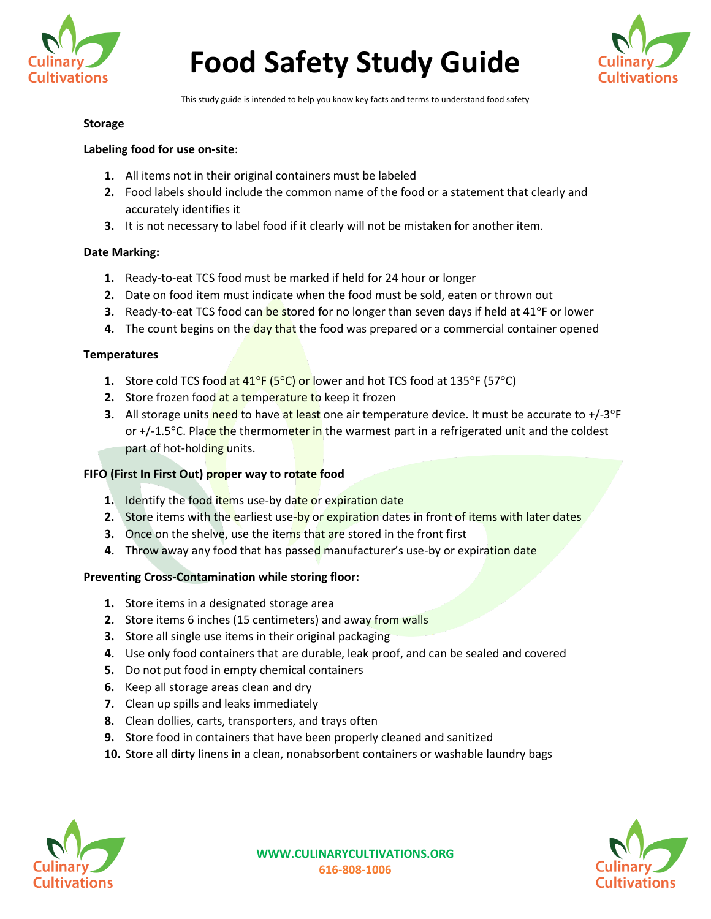



This study guide is intended to help you know key facts and terms to understand food safety

## **Storage**

## **Labeling food for use on-site**:

- **1.** All items not in their original containers must be labeled
- **2.** Food labels should include the common name of the food or a statement that clearly and accurately identifies it
- **3.** It is not necessary to label food if it clearly will not be mistaken for another item.

## **Date Marking:**

- **1.** Ready-to-eat TCS food must be marked if held for 24 hour or longer
- **2.** Date on food item must indicate when the food must be sold, eaten or thrown out
- **3.** Ready-to-eat TCS food can be stored for no longer than seven days if held at 41°F or lower
- **4.** The count begins on the day that the food was prepared or a commercial container opened

## **Temperatures**

- **1.** Store cold TCS food at 41<sup>°</sup>F (5<sup>°</sup>C) or lower and hot TCS food at 135<sup>°</sup>F (57<sup>°</sup>C)
- **2.** Store frozen food at a temperature to keep it frozen
- **3.** All storage units need to have at least one air temperature device. It must be accurate to +/-3°F or +/-1.5<sup>o</sup>C. Place the thermometer in the warmest part in a refrigerated unit and the coldest part of hot-holding units.

# **FIFO (First In First Out) proper way to rotate food**

- **1.** Identify the food items use-by date or expiration date
- **2.** Store items with the earliest use-by or expiration dates in front of items with later dates
- **3.** Once on the shelve, use the items that are stored in the front first
- **4.** Throw away any food that has passed manufacturer's use-by or expiration date

#### **Preventing Cross-Contamination while storing floor:**

- **1.** Store items in a designated storage area
- **2.** Store items 6 inches (15 centimeters) and away from walls
- **3.** Store all single use items in their original packaging
- **4.** Use only food containers that are durable, leak proof, and can be sealed and covered
- **5.** Do not put food in empty chemical containers
- **6.** Keep all storage areas clean and dry
- **7.** Clean up spills and leaks immediately
- **8.** Clean dollies, carts, transporters, and trays often
- **9.** Store food in containers that have been properly cleaned and sanitized
- **10.** Store all dirty linens in a clean, nonabsorbent containers or washable laundry bags



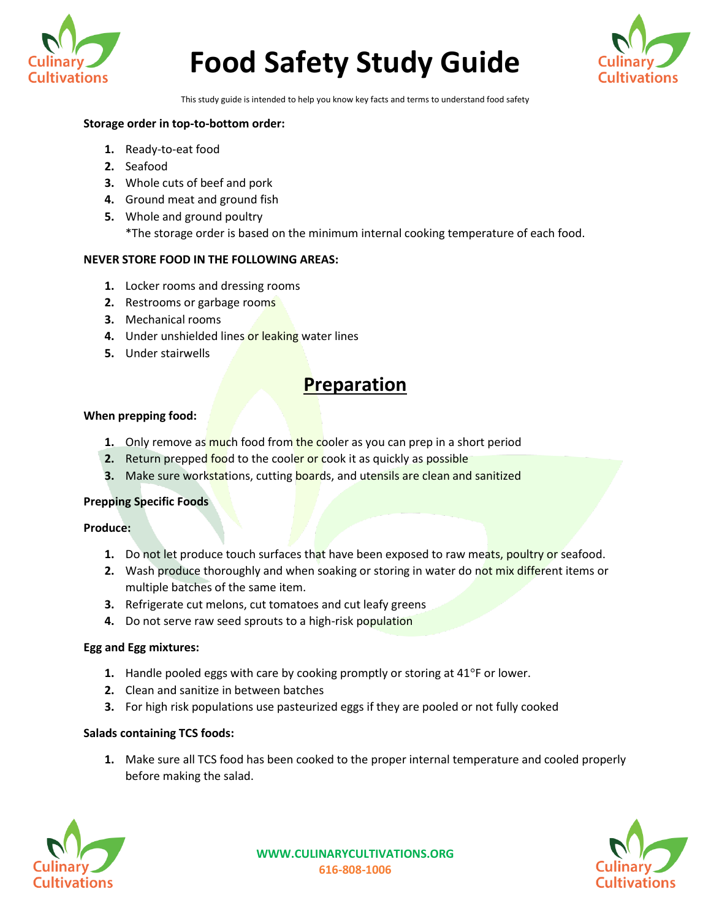



This study guide is intended to help you know key facts and terms to understand food safety

# **Storage order in top-to-bottom order:**

- **1.** Ready-to-eat food
- **2.** Seafood
- **3.** Whole cuts of beef and pork
- **4.** Ground meat and ground fish
- **5.** Whole and ground poultry \*The storage order is based on the minimum internal cooking temperature of each food.

## **NEVER STORE FOOD IN THE FOLLOWING AREAS:**

- **1.** Locker rooms and dressing rooms
- **2.** Restrooms or garbage rooms
- **3.** Mechanical rooms
- 4. Under unshielded lines or leaking water lines
- **5.** Under stairwells

# **Preparation**

#### **When prepping food:**

- **1.** Only remove as much food from the cooler as you can prep in a short period
- **2.** Return prepped food to the cooler or cook it as quickly as possible
- **3.** Make sure workstations, cutting **boards**, and utensils are clean and sanitized

#### **Prepping Specific Foods**

#### **Produce:**

- **1.** Do not let produce touch surfaces that have been exposed to raw meats, poultry or seafood.
- **2.** Wash produce thoroughly and when soaking or storing in water do not mix different items or multiple batches of the same item.
- **3.** Refrigerate cut melons, cut tomatoes and cut leafy greens
- **4.** Do not serve raw seed sprouts to a high-risk population

### **Egg and Egg mixtures:**

- **1.** Handle pooled eggs with care by cooking promptly or storing at 41°F or lower.
- **2.** Clean and sanitize in between batches
- **3.** For high risk populations use pasteurized eggs if they are pooled or not fully cooked

#### **Salads containing TCS foods:**

**1.** Make sure all TCS food has been cooked to the proper internal temperature and cooled properly before making the salad.



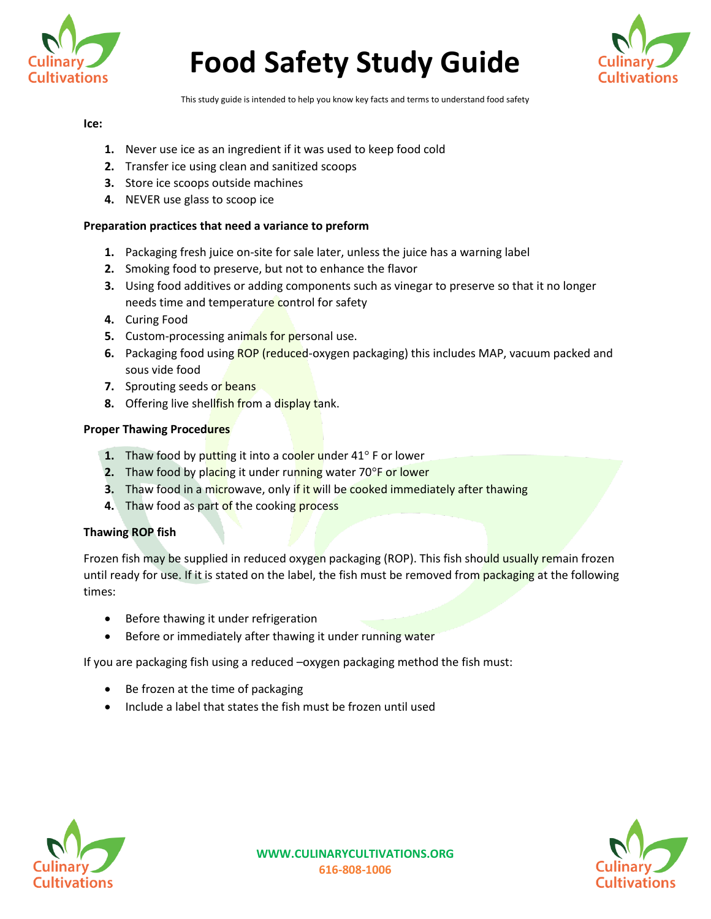



This study guide is intended to help you know key facts and terms to understand food safety

#### **Ice:**

- **1.** Never use ice as an ingredient if it was used to keep food cold
- **2.** Transfer ice using clean and sanitized scoops
- **3.** Store ice scoops outside machines
- **4.** NEVER use glass to scoop ice

# **Preparation practices that need a variance to preform**

- **1.** Packaging fresh juice on-site for sale later, unless the juice has a warning label
- **2.** Smoking food to preserve, but not to enhance the flavor
- **3.** Using food additives or adding components such as vinegar to preserve so that it no longer needs time and temperature control for safety
- **4.** Curing Food
- **5.** Custom-processing animals for personal use.
- **6.** Packaging food using ROP (reduced-oxygen packaging) this includes MAP, vacuum packed and sous vide food
- **7.** Sprouting seeds or beans
- **8.** Offering live shellfish from a display tank.

# **Proper Thawing Procedures**

- **1.** Thaw food by putting it into a cooler under 41° F or lower
- **2.** Thaw food by placing it under running water 70°F or lower
- **3.** Thaw food in a microwave, only if it will be cooked immediately after thawing
- **4.** Thaw food as part of the cooking process

# **Thawing ROP fish**

Frozen fish may be supplied in reduced oxygen packaging (ROP). This fish should usually remain frozen until ready for use. If it is stated on the label, the fish must be removed from packaging at the following times:

- Before thawing it under refrigeration
- Before or immediately after thawing it under running water

If you are packaging fish using a reduced –oxygen packaging method the fish must:

- Be frozen at the time of packaging
- Include a label that states the fish must be frozen until used



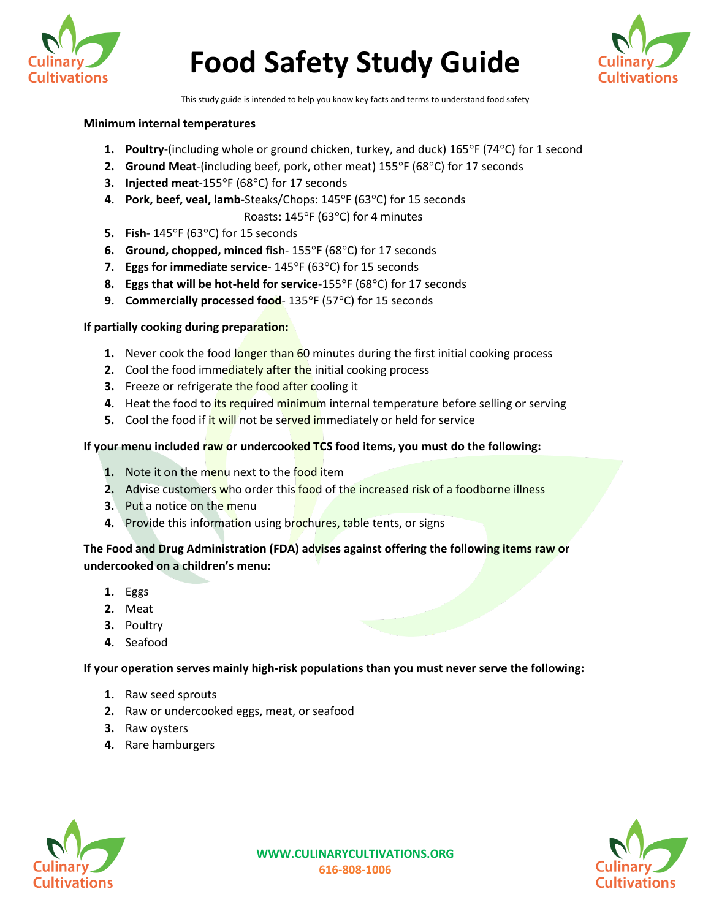



This study guide is intended to help you know key facts and terms to understand food safety

#### **Minimum internal temperatures**

- **1. Poultry**-(including whole or ground chicken, turkey, and duck) 165°F (74°C) for 1 second
- **2. Ground Meat**-(including beef, pork, other meat) 155°F (68°C) for 17 seconds
- **3. Injected meat**-155°F (68°C) for 17 seconds
- **4. Pork, beef, veal, lamb-**Steaks/Chops: 145°F (63°C) for 15 seconds

Roasts**:** 145°F (63°C) for 4 minutes

- **5. Fish** 145°F (63°C) for 15 seconds
- **6. Ground, chopped, minced fish** 155°F (68°C) for 17 seconds
- **7. Eggs for immediate service** 145°F (63°C) for 15 seconds
- **8. Eggs that will be hot-held for service**-155°F (68°C) for 17 seconds
- **9. Commercially processed food** 135°F (57°C) for 15 seconds

#### **If partially cooking during preparation:**

- **1.** Never cook the food longer than 60 minutes during the first initial cooking process
- **2.** Cool the food immediately after the initial cooking process
- **3.** Freeze or refrigerate the food after cooling it
- **4.** Heat the food to its required minimum internal temperature before selling or serving
- **5.** Cool the food if it will not be served immediately or held for service

## **If your menu included raw or undercooked TCS food items, you must do the following:**

- **1.** Note it on the menu next to the food item
- **2.** Advise customers who order this food of the increased risk of a foodborne illness
- **3.** Put a notice on the menu
- **4.** Provide this information using brochures, table tents, or signs

# **The Food and Drug Administration (FDA) advises against offering the following items raw or undercooked on a children's menu:**

- **1.** Eggs
- **2.** Meat
- **3.** Poultry
- **4.** Seafood

#### **If your operation serves mainly high-risk populations than you must never serve the following:**

- **1.** Raw seed sprouts
- **2.** Raw or undercooked eggs, meat, or seafood
- **3.** Raw oysters
- **4.** Rare hamburgers



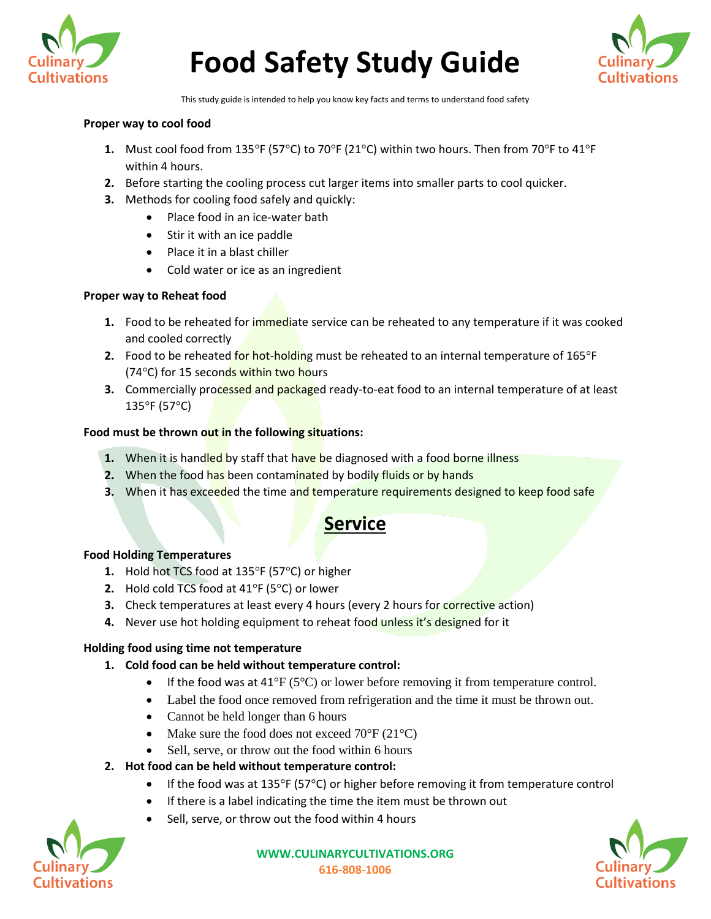



This study guide is intended to help you know key facts and terms to understand food safety

## **Proper way to cool food**

- **1.** Must cool food from 135°F (57°C) to 70°F (21°C) within two hours. Then from 70°F to 41°F within 4 hours.
- **2.** Before starting the cooling process cut larger items into smaller parts to cool quicker.
- **3.** Methods for cooling food safely and quickly:
	- Place food in an ice-water bath
	- Stir it with an ice paddle
	- Place it in a blast chiller
	- Cold water or ice as an ingredient

# **Proper way to Reheat food**

- **1.** Food to be reheated for immediate service can be reheated to any temperature if it was cooked and cooled correctly
- **2.** Food to be reheated for hot-holding must be reheated to an internal temperature of 165°F (74°C) for 15 seconds within two hours
- **3.** Commercially processed and packaged ready-to-eat food to an internal temperature of at least 135°F (57°C)

# **Food must be thrown out in the following situations:**

- **1.** When it is handled by staff that have be diagnosed with a food borne illness
- **2.** When the food has been contaminated by bodily fluids or by hands
- **3.** When it has exceeded the time and temperature requirements designed to keep food safe

# **Service**

#### **Food Holding Temperatures**

- **1.** Hold hot TCS food at 135°F (57°C) or higher
- **2.** Hold cold TCS food at 41°F (5°C) or lower
- **3.** Check temperatures at least every 4 hours (every 2 hours for corrective action)
- 4. Never use hot holding equipment to reheat food unless it's designed for it

# **Holding food using time not temperature**

- **1. Cold food can be held without temperature control:**
	- If the food was at  $41^{\circ}F (5^{\circ}C)$  or lower before removing it from temperature control.
	- Label the food once removed from refrigeration and the time it must be thrown out.
	- Cannot be held longer than 6 hours
	- Make sure the food does not exceed  $70^{\circ}$ F (21 $^{\circ}$ C)
	- Sell, serve, or throw out the food within 6 hours
- **2. Hot food can be held without temperature control:**
	- If the food was at 135°F (57°C) or higher before removing it from temperature control
	- If there is a label indicating the time the item must be thrown out
	- Sell, serve, or throw out the food within 4 hours



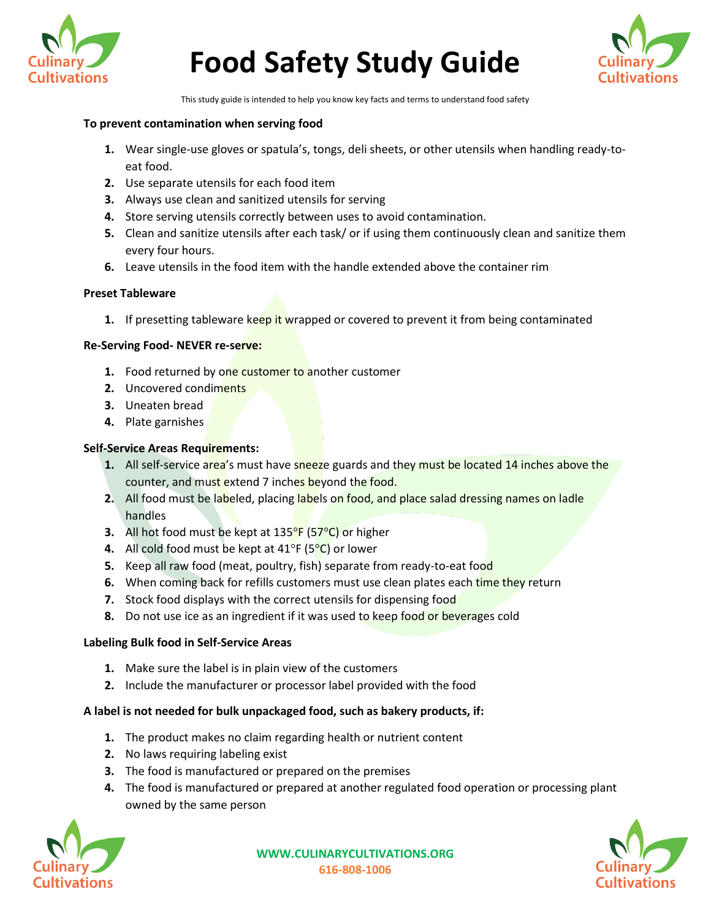



This study guide is intended to help you know key facts and terms to understand food safety

#### **To prevent contamination when serving food**

- **1.** Wear single-use gloves or spatula's, tongs, deli sheets, or other utensils when handling ready-toeat food.
- **2.** Use separate utensils for each food item
- **3.** Always use clean and sanitized utensils for serving
- **4.** Store serving utensils correctly between uses to avoid contamination.
- **5.** Clean and sanitize utensils after each task/ or if using them continuously clean and sanitize them every four hours.
- **6.** Leave utensils in the food item with the handle extended above the container rim

#### **Preset Tableware**

**1.** If presetting tableware keep it wrapped or covered to prevent it from being contaminated

#### **Re-Serving Food- NEVER re-serve:**

- **1.** Food returned by one customer to another customer
- **2.** Uncovered condiments
- **3.** Uneaten bread
- **4.** Plate garnishes

#### **Self-Service Areas Requirements:**

- **1.** All self-service area's must have sneeze guards and they must be located 14 inches above the counter, and must extend 7 inches beyond the food.
- **2.** All food must be labeled, placing labels on food, and place salad dressing names on ladle handles
- **3.** All hot food must be kept at 135°F (57°C) or higher
- **4.** All cold food must be kept at 41°F (5°C) or lower
- **5.** Keep all raw food (meat, poultry, fish) separate from ready-to-eat food
- **6.** When coming back for refills customers must use clean plates each time they return
- **7.** Stock food displays with the correct utensils for dispensing food
- **8.** Do not use ice as an ingredient if it was used to keep food or beverages cold

#### **Labeling Bulk food in Self-Service Areas**

- **1.** Make sure the label is in plain view of the customers
- **2.** Include the manufacturer or processor label provided with the food

#### **A label is not needed for bulk unpackaged food, such as bakery products, if:**

- **1.** The product makes no claim regarding health or nutrient content
- **2.** No laws requiring labeling exist
- **3.** The food is manufactured or prepared on the premises
- **4.** The food is manufactured or prepared at another regulated food operation or processing plant owned by the same person



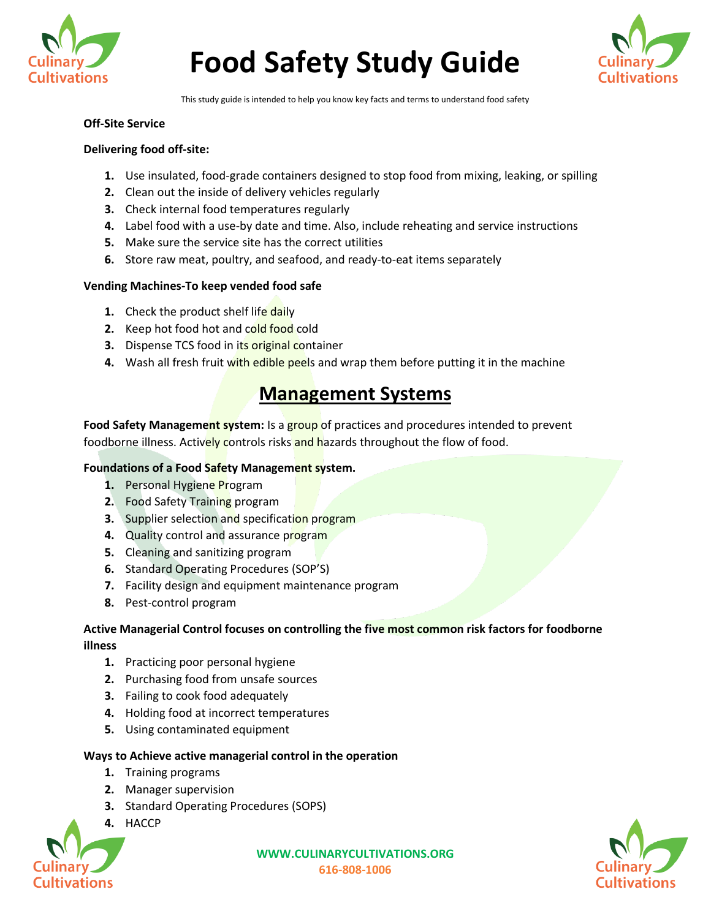



This study guide is intended to help you know key facts and terms to understand food safety

#### **Off-Site Service**

## **Delivering food off-site:**

- **1.** Use insulated, food-grade containers designed to stop food from mixing, leaking, or spilling
- **2.** Clean out the inside of delivery vehicles regularly
- **3.** Check internal food temperatures regularly
- **4.** Label food with a use-by date and time. Also, include reheating and service instructions
- **5.** Make sure the service site has the correct utilities
- **6.** Store raw meat, poultry, and seafood, and ready-to-eat items separately

#### **Vending Machines-To keep vended food safe**

- **1.** Check the product shelf life daily
- **2.** Keep hot food hot and cold food cold
- **3.** Dispense TCS food in its original container
- **4.** Wash all fresh fruit with edible peels and wrap them before putting it in the machine

# **Management Systems**

Food Safety Management system: Is a group of practices and procedures intended to prevent foodborne illness. Actively controls risks and hazards throughout the flow of food.

#### **Foundations of a Food Safety Management system.**

- **1.** Personal Hygiene Program
- **2.** Food Safety Training program
- **3.** Supplier selection and specification program
- **4.** Quality control and assurance program
- **5.** Cleaning and sanitizing program
- **6.** Standard Operating Procedures (SOP'S)
- **7.** Facility design and equipment maintenance program
- **8.** Pest-control program

# **Active Managerial Control focuses on controlling the five most common risk factors for foodborne illness**

- **1.** Practicing poor personal hygiene
- **2.** Purchasing food from unsafe sources
- **3.** Failing to cook food adequately
- **4.** Holding food at incorrect temperatures
- **5.** Using contaminated equipment

# **Ways to Achieve active managerial control in the operation**

- **1.** Training programs
- **2.** Manager supervision
- **3.** Standard Operating Procedures (SOPS)
- **4.** HACCP



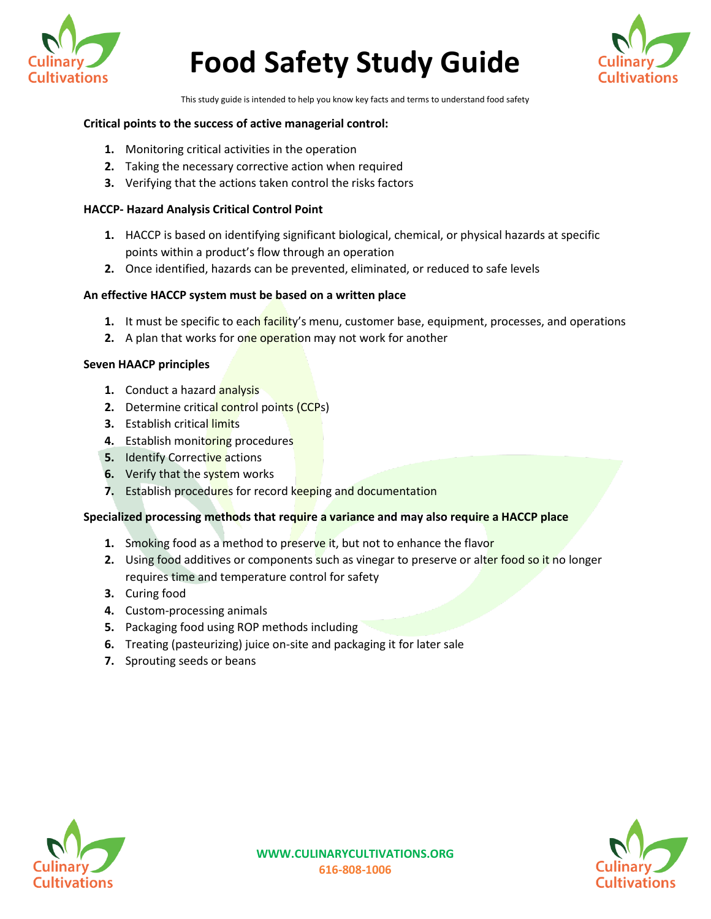



This study guide is intended to help you know key facts and terms to understand food safety

## **Critical points to the success of active managerial control:**

- **1.** Monitoring critical activities in the operation
- **2.** Taking the necessary corrective action when required
- **3.** Verifying that the actions taken control the risks factors

#### **HACCP- Hazard Analysis Critical Control Point**

- **1.** HACCP is based on identifying significant biological, chemical, or physical hazards at specific points within a product's flow through an operation
- **2.** Once identified, hazards can be prevented, eliminated, or reduced to safe levels

## **An effective HACCP system must be based on a written place**

- **1.** It must be specific to each facility's menu, customer base, equipment, processes, and operations
- **2.** A plan that works for one operation may not work for another

## **Seven HAACP principles**

- **1.** Conduct a hazard **analysis**
- **2.** Determine critical control points (CCPs)
- **3.** Establish critical limits
- **4.** Establish monitoring procedures
- **5.** Identify Corrective actions
- **6.** Verify that the system works
- **7.** Establish procedures for record keeping and documentation

# **Specialized processing methods that require a variance and may also require a HACCP place**

- **1.** Smoking food as a method to preserve it, but not to enhance the flavor
- **2.** Using food additives or components such as vinegar to preserve or alter food so it no longer requires time and temperature control for safety
- **3.** Curing food
- **4.** Custom-processing animals
- **5.** Packaging food using ROP methods including
- **6.** Treating (pasteurizing) juice on-site and packaging it for later sale
- **7.** Sprouting seeds or beans



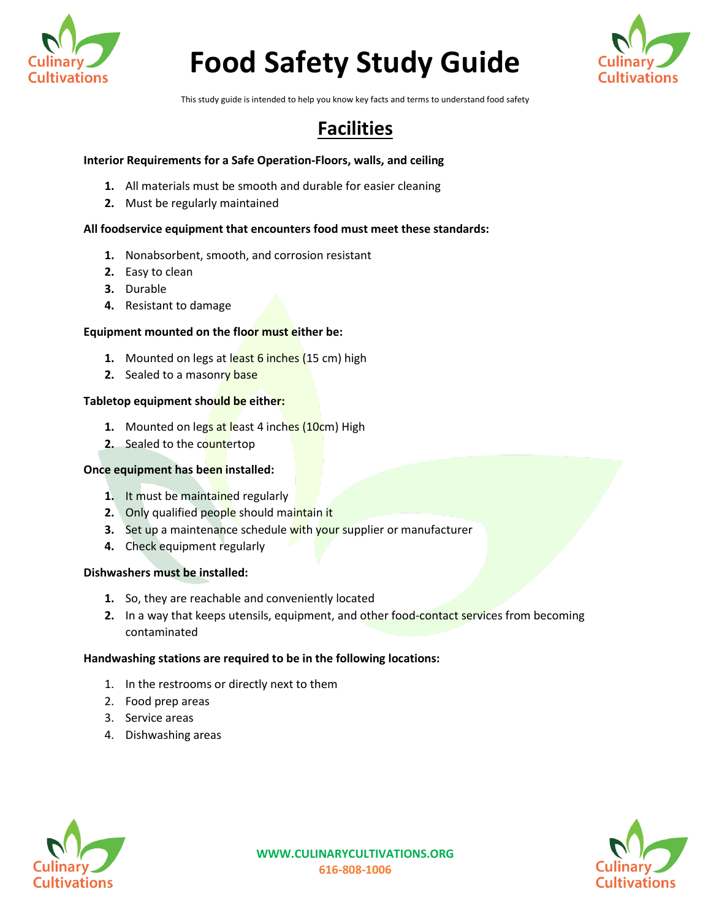



This study guide is intended to help you know key facts and terms to understand food safety

# **Facilities**

# **Interior Requirements for a Safe Operation-Floors, walls, and ceiling**

- **1.** All materials must be smooth and durable for easier cleaning
- **2.** Must be regularly maintained

#### **All foodservice equipment that encounters food must meet these standards:**

- **1.** Nonabsorbent, smooth, and corrosion resistant
- **2.** Easy to clean
- **3.** Durable
- **4.** Resistant to damage

#### **Equipment mounted on the floor must either be:**

- **1.** Mounted on legs at least 6 inches (15 cm) high
- **2.** Sealed to a masonry base

## **Tabletop equipment should be either:**

- **1.** Mounted on legs at least 4 inches (10cm) High
- **2.** Sealed to the countertop

#### **Once equipment has been installed:**

- **1.** It must be maintained regularly
- **2.** Only qualified people should maintain it
- **3.** Set up a maintenance schedule with your supplier or manufacturer
- **4.** Check equipment regularly

#### **Dishwashers must be installed:**

- **1.** So, they are reachable and conveniently located
- **2.** In a way that keeps utensils, equipment, and other food-contact services from becoming contaminated

# **Handwashing stations are required to be in the following locations:**

- 1. In the restrooms or directly next to them
- 2. Food prep areas
- 3. Service areas
- 4. Dishwashing areas

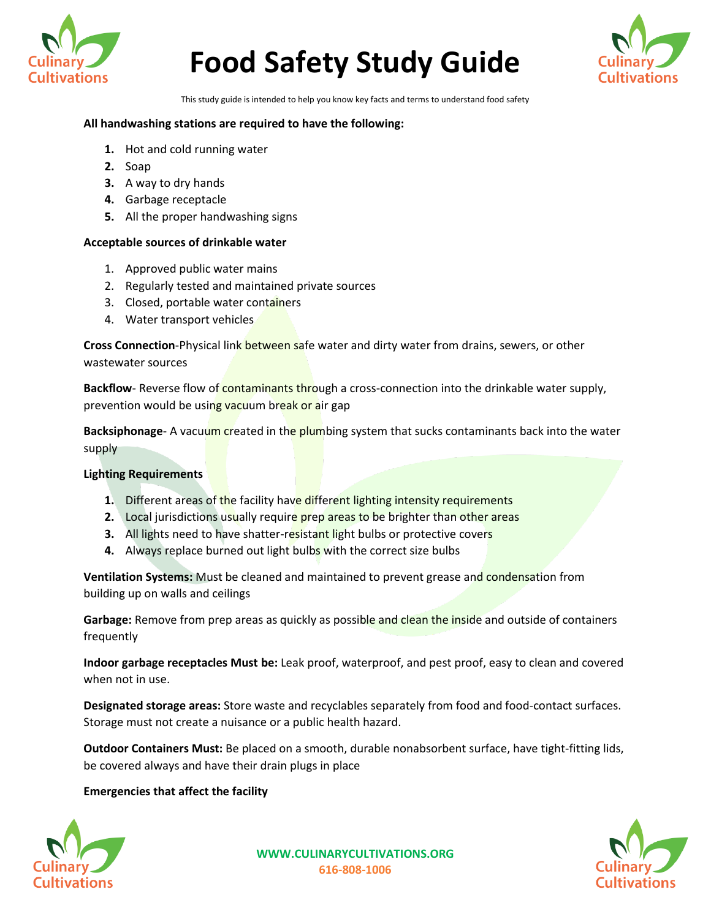



This study guide is intended to help you know key facts and terms to understand food safety

#### **All handwashing stations are required to have the following:**

- **1.** Hot and cold running water
- **2.** Soap
- **3.** A way to dry hands
- **4.** Garbage receptacle
- **5.** All the proper handwashing signs

## **Acceptable sources of drinkable water**

- 1. Approved public water mains
- 2. Regularly tested and maintained private sources
- 3. Closed, portable water containers
- 4. Water transport vehicles

**Cross Connection**-Physical link between safe water and dirty water from drains, sewers, or other wastewater sources

Backflow- Reverse flow of contaminants through a cross-connection into the drinkable water supply, prevention would be using vacuum break or air gap

**Backsiphonage-** A vacuum created in the plumbing system that sucks contaminants back into the water supply

# **Lighting Requirements**

- **1.** Different areas of the facility have different lighting intensity requirements
- **2.** Local jurisdictions usually require prep areas to be brighter than other areas
- **3.** All lights need to have shatter-resistant light bulbs or protective covers
- **4.** Always replace burned out light bulbs with the correct size bulbs

**Ventilation Systems:** Must be cleaned and maintained to prevent grease and condensation from building up on walls and ceilings

**Garbage:** Remove from prep areas as quickly as possible and clean the inside and outside of containers frequently

**Indoor garbage receptacles Must be:** Leak proof, waterproof, and pest proof, easy to clean and covered when not in use.

**Designated storage areas:** Store waste and recyclables separately from food and food-contact surfaces. Storage must not create a nuisance or a public health hazard.

**Outdoor Containers Must:** Be placed on a smooth, durable nonabsorbent surface, have tight-fitting lids, be covered always and have their drain plugs in place

# **Emergencies that affect the facility**

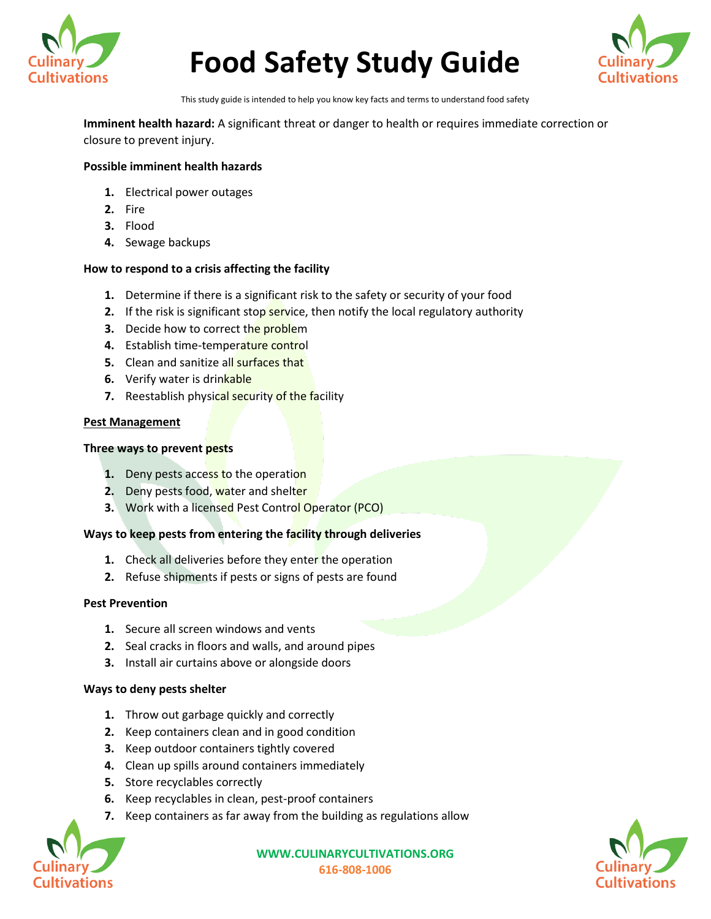



This study guide is intended to help you know key facts and terms to understand food safety

**Imminent health hazard:** A significant threat or danger to health or requires immediate correction or closure to prevent injury.

#### **Possible imminent health hazards**

- **1.** Electrical power outages
- **2.** Fire
- **3.** Flood
- **4.** Sewage backups

## **How to respond to a crisis affecting the facility**

- **1.** Determine if there is a significant risk to the safety or security of your food
- **2.** If the risk is significant stop service, then notify the local regulatory authority
- **3.** Decide how to correct the problem
- **4.** Establish time-temperature control
- **5.** Clean and sanitize all surfaces that
- **6.** Verify water is drinkable
- **7.** Reestablish physical security of the facility

#### **Pest Management**

#### **Three ways to prevent pests**

- **1.** Deny pests access to the operation
- **2.** Deny pests food, water and shelter
- **3.** Work with a licensed Pest Control Operator (PCO)

#### **Ways to keep pests from entering the facility through deliveries**

- **1.** Check all deliveries before they enter the operation
- **2.** Refuse shipments if pests or signs of pests are found

#### **Pest Prevention**

- **1.** Secure all screen windows and vents
- **2.** Seal cracks in floors and walls, and around pipes
- **3.** Install air curtains above or alongside doors

#### **Ways to deny pests shelter**

- **1.** Throw out garbage quickly and correctly
- **2.** Keep containers clean and in good condition
- **3.** Keep outdoor containers tightly covered
- **4.** Clean up spills around containers immediately
- **5.** Store recyclables correctly
- **6.** Keep recyclables in clean, pest-proof containers
- **7.** Keep containers as far away from the building as regulations allow



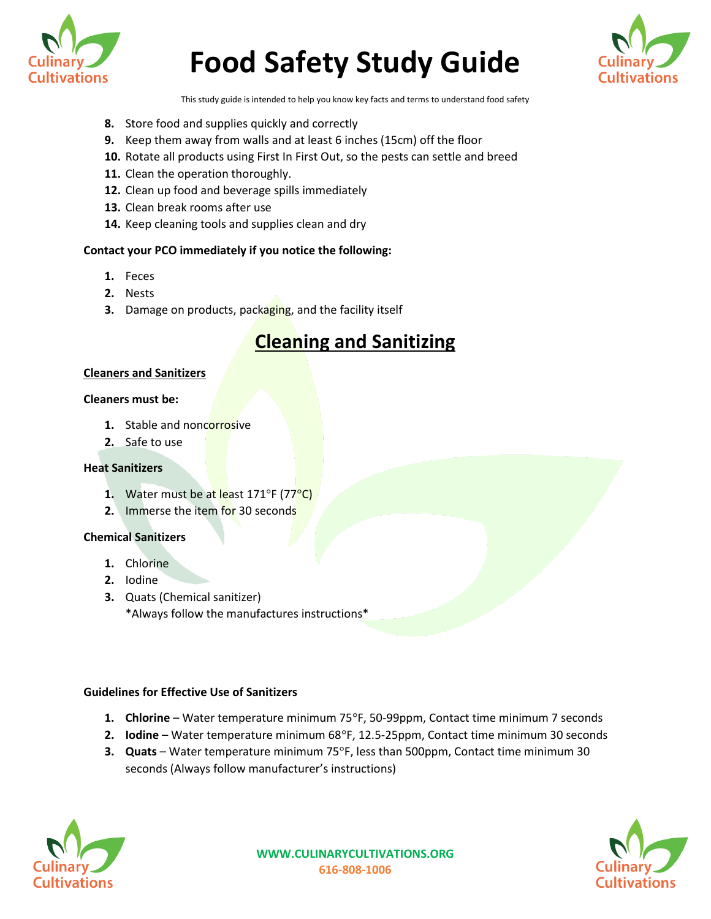



This study guide is intended to help you know key facts and terms to understand food safety

- **8.** Store food and supplies quickly and correctly
- **9.** Keep them away from walls and at least 6 inches (15cm) off the floor
- **10.** Rotate all products using First In First Out, so the pests can settle and breed
- **11.** Clean the operation thoroughly.
- **12.** Clean up food and beverage spills immediately
- **13.** Clean break rooms after use
- **14.** Keep cleaning tools and supplies clean and dry

## **Contact your PCO immediately if you notice the following:**

- **1.** Feces
- **2.** Nests
- **3.** Damage on products, packaging, and the facility itself

# **Cleaning and Sanitizing**

#### **Cleaners and Sanitizers**

#### **Cleaners must be:**

- **1.** Stable and noncorrosive
- **2.** Safe to use

#### **Heat Sanitizers**

- **1.** Water must be at least 171°F (77<sup>°</sup>C)
- **2.** Immerse the item for 30 seconds

## **Chemical Sanitizers**

- **1.** Chlorine
- **2.** Iodine
- **3.** Quats (Chemical sanitizer) \*Always follow the manufactures instructions\*

# **Guidelines for Effective Use of Sanitizers**

- **1. Chlorine** Water temperature minimum 75°F, 50-99ppm, Contact time minimum 7 seconds
- **2. Iodine** Water temperature minimum 68°F, 12.5-25ppm, Contact time minimum 30 seconds
- **3. Quats** Water temperature minimum 75°F, less than 500ppm, Contact time minimum 30 seconds (Always follow manufacturer's instructions)



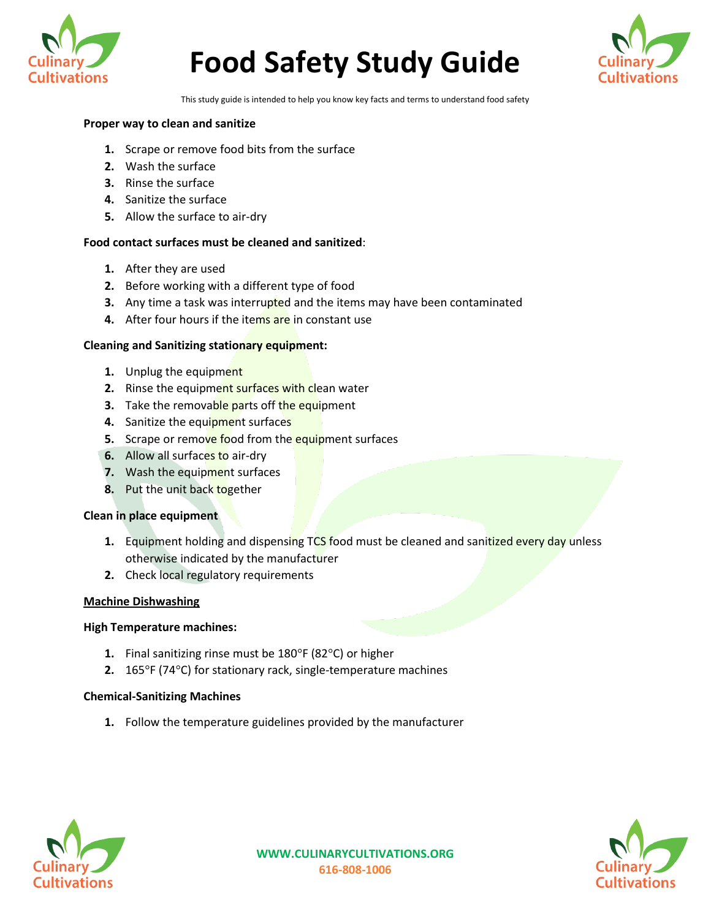



This study guide is intended to help you know key facts and terms to understand food safety

#### **Proper way to clean and sanitize**

- **1.** Scrape or remove food bits from the surface
- **2.** Wash the surface
- **3.** Rinse the surface
- **4.** Sanitize the surface
- **5.** Allow the surface to air-dry

# **Food contact surfaces must be cleaned and sanitized**:

- **1.** After they are used
- **2.** Before working with a different type of food
- **3.** Any time a task was interrupted and the items may have been contaminated
- **4.** After four hours if the items are in constant use

#### **Cleaning and Sanitizing stationary equipment:**

- **1.** Unplug the equipment
- **2.** Rinse the equipment surfaces with clean water
- **3.** Take the removable parts off the equipment
- **4.** Sanitize the equipment surfaces
- **5.** Scrape or remove food from the equipment surfaces
- **6.** Allow all surfaces to air-dry
- **7.** Wash the equipment surfaces
- **8.** Put the unit back together

#### **Clean in place equipment**

- **1.** Equipment holding and dispensing TCS food must be cleaned and sanitized every day unless otherwise indicated by the manufacturer
- **2.** Check local regulatory requirements

#### **Machine Dishwashing**

#### **High Temperature machines:**

- **1.** Final sanitizing rinse must be 180°F (82°C) or higher
- **2.** 165°F (74°C) for stationary rack, single-temperature machines

#### **Chemical-Sanitizing Machines**

**1.** Follow the temperature guidelines provided by the manufacturer

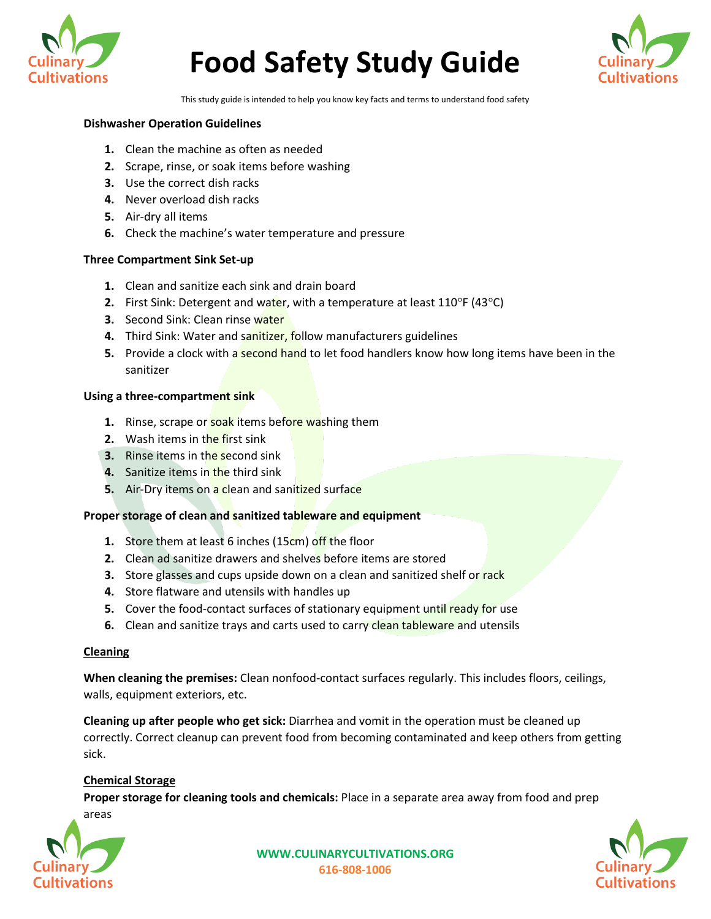



This study guide is intended to help you know key facts and terms to understand food safety

#### **Dishwasher Operation Guidelines**

- **1.** Clean the machine as often as needed
- **2.** Scrape, rinse, or soak items before washing
- **3.** Use the correct dish racks
- **4.** Never overload dish racks
- **5.** Air-dry all items
- **6.** Check the machine's water temperature and pressure

#### **Three Compartment Sink Set-up**

- **1.** Clean and sanitize each sink and drain board
- **2.** First Sink: Detergent and water, with a temperature at least 110°F (43°C)
- **3.** Second Sink: Clean rinse water
- 4. Third Sink: Water and sanitizer, follow manufacturers guidelines
- **5.** Provide a clock with a second hand to let food handlers know how long items have been in the sanitizer

#### **Using a three-compartment sink**

- **1.** Rinse, scrape or **soak** items before washing them
- **2.** Wash items in the first sink
- **3.** Rinse items in the second sink
- **4.** Sanitize items in the third sink
- **5.** Air-Dry items on a clean and sanitized surface

#### **Proper storage of clean and sanitized tableware and equipment**

- **1.** Store them at least 6 inches (15cm) off the floor
- **2.** Clean ad sanitize drawers and shelves before items are stored
- **3.** Store glasses and cups upside down on a clean and sanitized shelf or rack
- **4.** Store flatware and utensils with handles up
- **5.** Cover the food-contact surfaces of stationary equipment until ready for use
- **6.** Clean and sanitize trays and carts used to carry clean tableware and utensils

#### **Cleaning**

**When cleaning the premises:** Clean nonfood-contact surfaces regularly. This includes floors, ceilings, walls, equipment exteriors, etc.

**Cleaning up after people who get sick:** Diarrhea and vomit in the operation must be cleaned up correctly. Correct cleanup can prevent food from becoming contaminated and keep others from getting sick.

#### **Chemical Storage**

**Proper storage for cleaning tools and chemicals:** Place in a separate area away from food and prep areas